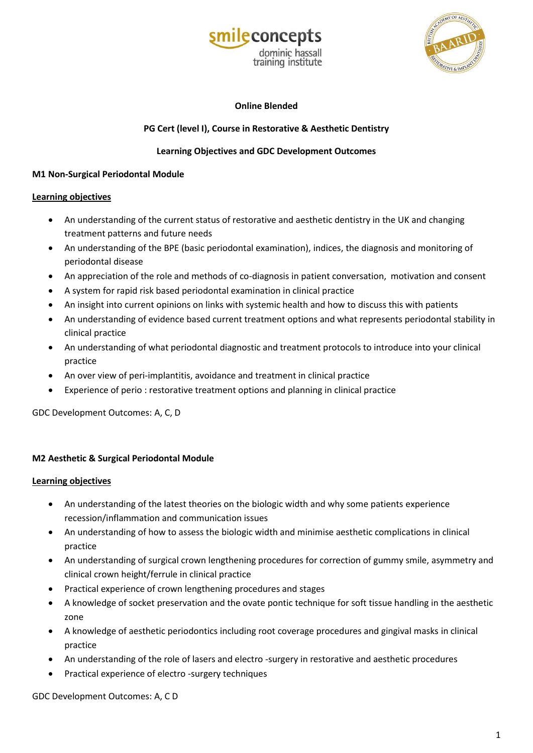



## **Online Blended**

# **PG Cert (level I), Course in Restorative & Aesthetic Dentistry**

## **Learning Objectives and GDC Development Outcomes**

### **M1 Non-Surgical Periodontal Module**

### **Learning objectives**

- An understanding of the current status of restorative and aesthetic dentistry in the UK and changing treatment patterns and future needs
- An understanding of the BPE (basic periodontal examination), indices, the diagnosis and monitoring of periodontal disease
- An appreciation of the role and methods of co-diagnosis in patient conversation, motivation and consent
- A system for rapid risk based periodontal examination in clinical practice
- An insight into current opinions on links with systemic health and how to discuss this with patients
- An understanding of evidence based current treatment options and what represents periodontal stability in clinical practice
- An understanding of what periodontal diagnostic and treatment protocols to introduce into your clinical practice
- An over view of peri-implantitis, avoidance and treatment in clinical practice
- Experience of perio : restorative treatment options and planning in clinical practice

GDC Development Outcomes: A, C, D

## **M2 Aesthetic & Surgical Periodontal Module**

## **Learning objectives**

- An understanding of the latest theories on the biologic width and why some patients experience recession/inflammation and communication issues
- An understanding of how to assess the biologic width and minimise aesthetic complications in clinical practice
- An understanding of surgical crown lengthening procedures for correction of gummy smile, asymmetry and clinical crown height/ferrule in clinical practice
- Practical experience of crown lengthening procedures and stages
- A knowledge of socket preservation and the ovate pontic technique for soft tissue handling in the aesthetic zone
- A knowledge of aesthetic periodontics including root coverage procedures and gingival masks in clinical practice
- An understanding of the role of lasers and electro -surgery in restorative and aesthetic procedures
- Practical experience of electro -surgery techniques

GDC Development Outcomes: A, C D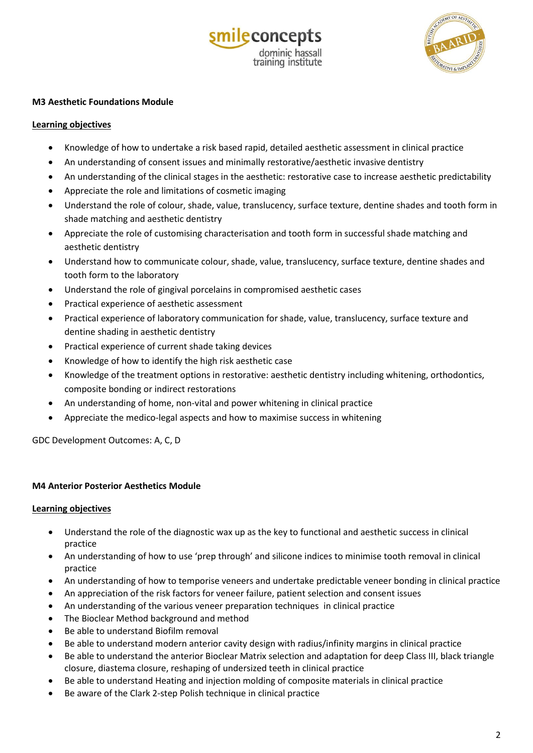



### **M3 Aesthetic Foundations Module**

### **Learning objectives**

- Knowledge of how to undertake a risk based rapid, detailed aesthetic assessment in clinical practice
- An understanding of consent issues and minimally restorative/aesthetic invasive dentistry
- An understanding of the clinical stages in the aesthetic: restorative case to increase aesthetic predictability
- Appreciate the role and limitations of cosmetic imaging
- Understand the role of colour, shade, value, translucency, surface texture, dentine shades and tooth form in shade matching and aesthetic dentistry
- Appreciate the role of customising characterisation and tooth form in successful shade matching and aesthetic dentistry
- Understand how to communicate colour, shade, value, translucency, surface texture, dentine shades and tooth form to the laboratory
- Understand the role of gingival porcelains in compromised aesthetic cases
- Practical experience of aesthetic assessment
- Practical experience of laboratory communication for shade, value, translucency, surface texture and dentine shading in aesthetic dentistry
- Practical experience of current shade taking devices
- Knowledge of how to identify the high risk aesthetic case
- Knowledge of the treatment options in restorative: aesthetic dentistry including whitening, orthodontics, composite bonding or indirect restorations
- An understanding of home, non-vital and power whitening in clinical practice
- Appreciate the medico-legal aspects and how to maximise success in whitening

GDC Development Outcomes: A, C, D

### **M4 Anterior Posterior Aesthetics Module**

### **Learning objectives**

- Understand the role of the diagnostic wax up as the key to functional and aesthetic success in clinical practice
- An understanding of how to use 'prep through' and silicone indices to minimise tooth removal in clinical practice
- An understanding of how to temporise veneers and undertake predictable veneer bonding in clinical practice
- An appreciation of the risk factors for veneer failure, patient selection and consent issues
- An understanding of the various veneer preparation techniques in clinical practice
- The Bioclear Method background and method
- Be able to understand Biofilm removal
- Be able to understand modern anterior cavity design with radius/infinity margins in clinical practice
- Be able to understand the anterior Bioclear Matrix selection and adaptation for deep Class III, black triangle closure, diastema closure, reshaping of undersized teeth in clinical practice
- Be able to understand Heating and injection molding of composite materials in clinical practice
- Be aware of the Clark 2-step Polish technique in clinical practice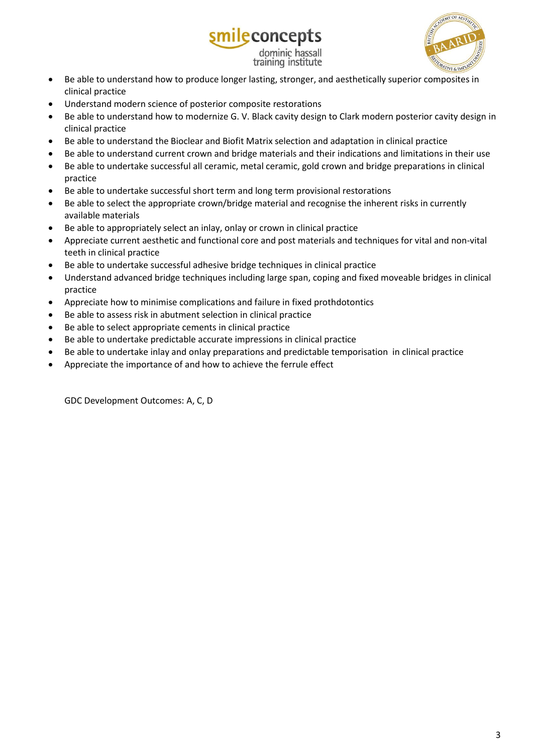

- Be able to understand how to produce longer lasting, stronger, and aesthetically superior composites in clinical practice
- Understand modern science of posterior composite restorations
- Be able to understand how to modernize G. V. Black cavity design to Clark modern posterior cavity design in clinical practice

ileconcepts

dominic hassall training institute

- Be able to understand the Bioclear and Biofit Matrix selection and adaptation in clinical practice
- Be able to understand current crown and bridge materials and their indications and limitations in their use
- Be able to undertake successful all ceramic, metal ceramic, gold crown and bridge preparations in clinical practice
- Be able to undertake successful short term and long term provisional restorations
- Be able to select the appropriate crown/bridge material and recognise the inherent risks in currently available materials
- Be able to appropriately select an inlay, onlay or crown in clinical practice
- Appreciate current aesthetic and functional core and post materials and techniques for vital and non-vital teeth in clinical practice
- Be able to undertake successful adhesive bridge techniques in clinical practice
- Understand advanced bridge techniques including large span, coping and fixed moveable bridges in clinical practice
- Appreciate how to minimise complications and failure in fixed prothdotontics
- Be able to assess risk in abutment selection in clinical practice
- Be able to select appropriate cements in clinical practice
- Be able to undertake predictable accurate impressions in clinical practice
- Be able to undertake inlay and onlay preparations and predictable temporisation in clinical practice
- Appreciate the importance of and how to achieve the ferrule effect

GDC Development Outcomes: A, C, D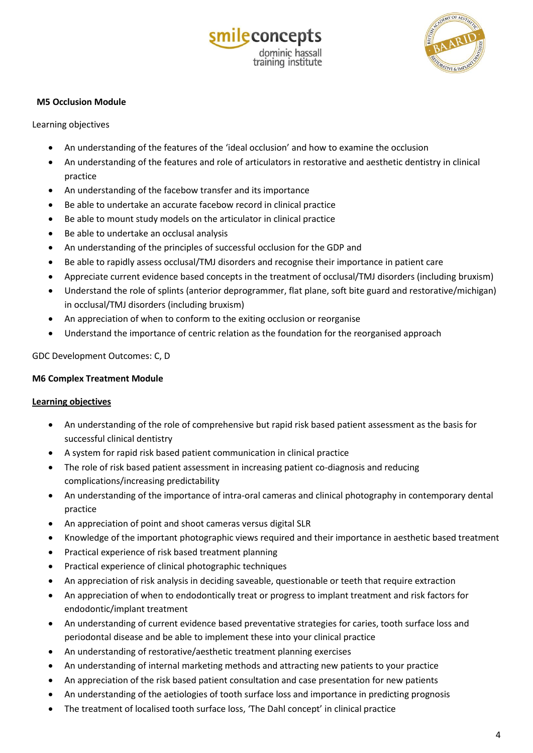



## **M5 Occlusion Module**

Learning objectives

- An understanding of the features of the 'ideal occlusion' and how to examine the occlusion
- An understanding of the features and role of articulators in restorative and aesthetic dentistry in clinical practice
- An understanding of the facebow transfer and its importance
- Be able to undertake an accurate facebow record in clinical practice
- Be able to mount study models on the articulator in clinical practice
- Be able to undertake an occlusal analysis
- An understanding of the principles of successful occlusion for the GDP and
- Be able to rapidly assess occlusal/TMJ disorders and recognise their importance in patient care
- Appreciate current evidence based concepts in the treatment of occlusal/TMJ disorders (including bruxism)
- Understand the role of splints (anterior deprogrammer, flat plane, soft bite guard and restorative/michigan) in occlusal/TMJ disorders (including bruxism)
- An appreciation of when to conform to the exiting occlusion or reorganise
- Understand the importance of centric relation as the foundation for the reorganised approach

### GDC Development Outcomes: C, D

### **M6 Complex Treatment Module**

### **Learning objectives**

- An understanding of the role of comprehensive but rapid risk based patient assessment as the basis for successful clinical dentistry
- A system for rapid risk based patient communication in clinical practice
- The role of risk based patient assessment in increasing patient co-diagnosis and reducing complications/increasing predictability
- An understanding of the importance of intra-oral cameras and clinical photography in contemporary dental practice
- An appreciation of point and shoot cameras versus digital SLR
- Knowledge of the important photographic views required and their importance in aesthetic based treatment
- Practical experience of risk based treatment planning
- Practical experience of clinical photographic techniques
- An appreciation of risk analysis in deciding saveable, questionable or teeth that require extraction
- An appreciation of when to endodontically treat or progress to implant treatment and risk factors for endodontic/implant treatment
- An understanding of current evidence based preventative strategies for caries, tooth surface loss and periodontal disease and be able to implement these into your clinical practice
- An understanding of restorative/aesthetic treatment planning exercises
- An understanding of internal marketing methods and attracting new patients to your practice
- An appreciation of the risk based patient consultation and case presentation for new patients
- An understanding of the aetiologies of tooth surface loss and importance in predicting prognosis
- The treatment of localised tooth surface loss, 'The Dahl concept' in clinical practice